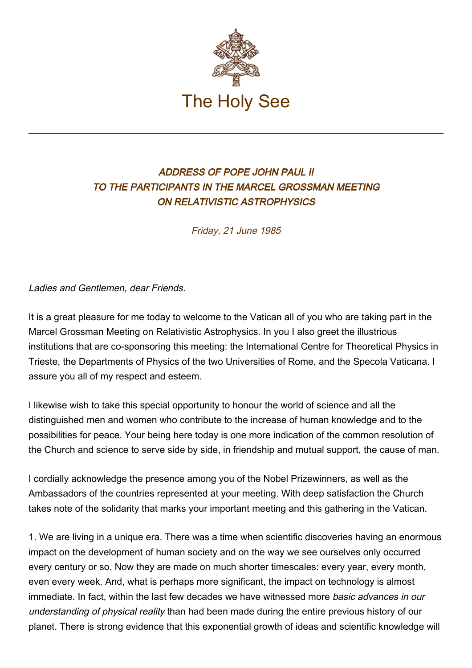

## ADDRESS OF POPE JOHN PAUL II TO THE PARTICIPANTS IN THE MARCEL GROSSMAN MEETING ON RELATIVISTIC ASTROPHYSICS

Friday, 21 June 1985

Ladies and Gentlemen, dear Friends.

It is a great pleasure for me today to welcome to the Vatican all of you who are taking part in the Marcel Grossman Meeting on Relativistic Astrophysics. In you I also greet the illustrious institutions that are co-sponsoring this meeting: the International Centre for Theoretical Physics in Trieste, the Departments of Physics of the two Universities of Rome, and the Specola Vaticana. I assure you all of my respect and esteem.

I likewise wish to take this special opportunity to honour the world of science and all the distinguished men and women who contribute to the increase of human knowledge and to the possibilities for peace. Your being here today is one more indication of the common resolution of the Church and science to serve side by side, in friendship and mutual support, the cause of man.

I cordially acknowledge the presence among you of the Nobel Prizewinners, as well as the Ambassadors of the countries represented at your meeting. With deep satisfaction the Church takes note of the solidarity that marks your important meeting and this gathering in the Vatican.

1. We are living in a unique era. There was a time when scientific discoveries having an enormous impact on the development of human society and on the way we see ourselves only occurred every century or so. Now they are made on much shorter timescales: every year, every month, even every week. And, what is perhaps more significant, the impact on technology is almost immediate. In fact, within the last few decades we have witnessed more basic advances in our understanding of physical reality than had been made during the entire previous history of our planet. There is strong evidence that this exponential growth of ideas and scientific knowledge will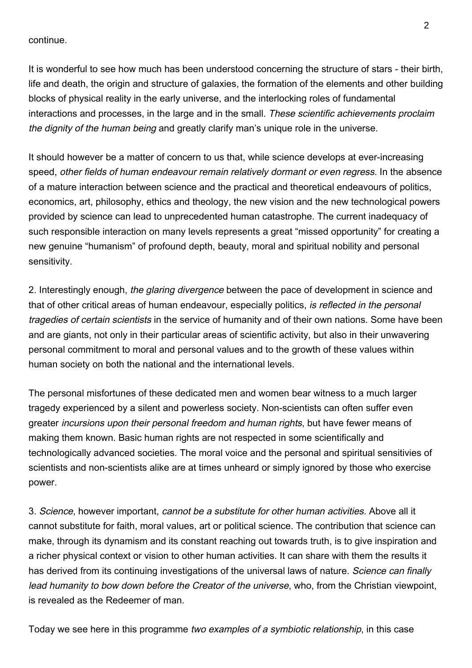continue.

It is wonderful to see how much has been understood concerning the structure of stars - their birth, life and death, the origin and structure of galaxies, the formation of the elements and other building blocks of physical reality in the early universe, and the interlocking roles of fundamental interactions and processes, in the large and in the small. These scientific achievements proclaim the dignity of the human being and greatly clarify man's unique role in the universe.

It should however be a matter of concern to us that, while science develops at ever-increasing speed, other fields of human endeavour remain relatively dormant or even regress. In the absence of a mature interaction between science and the practical and theoretical endeavours of politics, economics, art, philosophy, ethics and theology, the new vision and the new technological powers provided by science can lead to unprecedented human catastrophe. The current inadequacy of such responsible interaction on many levels represents a great "missed opportunity" for creating a new genuine "humanism" of profound depth, beauty, moral and spiritual nobility and personal sensitivity.

2. Interestingly enough, the glaring divergence between the pace of development in science and that of other critical areas of human endeavour, especially politics, is reflected in the personal tragedies of certain scientists in the service of humanity and of their own nations. Some have been and are giants, not only in their particular areas of scientific activity, but also in their unwavering personal commitment to moral and personal values and to the growth of these values within human society on both the national and the international levels.

The personal misfortunes of these dedicated men and women bear witness to a much larger tragedy experienced by a silent and powerless society. Non-scientists can often suffer even greater incursions upon their personal freedom and human rights, but have fewer means of making them known. Basic human rights are not respected in some scientifically and technologically advanced societies. The moral voice and the personal and spiritual sensitivies of scientists and non-scientists alike are at times unheard or simply ignored by those who exercise power.

3. Science, however important, cannot be a substitute for other human activities. Above all it cannot substitute for faith, moral values, art or political science. The contribution that science can make, through its dynamism and its constant reaching out towards truth, is to give inspiration and a richer physical context or vision to other human activities. It can share with them the results it has derived from its continuing investigations of the universal laws of nature. Science can finally lead humanity to bow down before the Creator of the universe, who, from the Christian viewpoint, is revealed as the Redeemer of man.

Today we see here in this programme two examples of a symbiotic relationship, in this case